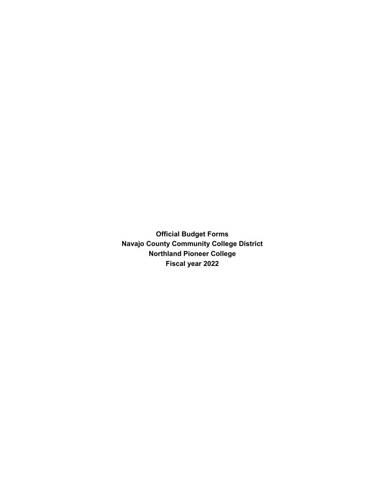**Official Budget Forms Navajo County Community College District Northland Pioneer College Fiscal year 2022**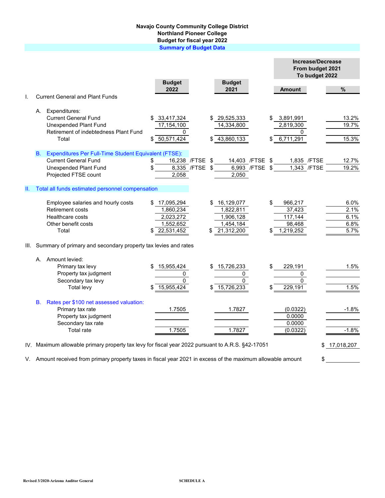## **Navajo County Community College District Northland Pioneer College Budget for fiscal year 2022 Summary of Budget Data**

|    |             |                                                                                                   |                       |                        |                | <b>Increase/Decrease</b><br>From budget 2021<br>To budget 2022 |  |              |  |
|----|-------------|---------------------------------------------------------------------------------------------------|-----------------------|------------------------|----------------|----------------------------------------------------------------|--|--------------|--|
|    |             |                                                                                                   | <b>Budget</b><br>2022 | <b>Budget</b><br>2021  |                | <b>Amount</b>                                                  |  | $\%$         |  |
|    |             | <b>Current General and Plant Funds</b>                                                            |                       |                        |                |                                                                |  |              |  |
|    | А.          | Expenditures:                                                                                     |                       |                        |                |                                                                |  |              |  |
|    |             | <b>Current General Fund</b>                                                                       | \$33,417,324          | 29,525,333             |                | 3,891,991                                                      |  | 13.2%        |  |
|    |             | <b>Unexpended Plant Fund</b>                                                                      | 17,154,100            | 14,334,800             |                | 2,819,300                                                      |  | 19.7%        |  |
|    |             | Retirement of indebtedness Plant Fund<br>Total                                                    | 0<br>\$ 50,571,424    | 43,860,133             |                | U<br>6,711,291                                                 |  | 15.3%        |  |
|    |             |                                                                                                   |                       |                        |                |                                                                |  |              |  |
|    | $B_{\cdot}$ | Expenditures Per Full-Time Student Equivalent (FTSE):                                             |                       |                        |                |                                                                |  |              |  |
|    |             | <b>Current General Fund</b>                                                                       | 16,238 /FTSE<br>\$    | \$<br>14,403 / FTSE \$ |                | 1,835 /FTSE                                                    |  | 12.7%        |  |
|    |             | <b>Unexpended Plant Fund</b>                                                                      | 8,335 /FTSE           | \$                     | 6,993 /FTSE \$ | 1,343 /FTSE                                                    |  | 19.2%        |  |
|    |             | Projected FTSE count                                                                              | 2,058                 | 2,050                  |                |                                                                |  |              |  |
| Ш. |             | Total all funds estimated personnel compensation                                                  |                       |                        |                |                                                                |  |              |  |
|    |             | Employee salaries and hourly costs                                                                | \$17,095,294          | \$16,129,077           |                | 966,217                                                        |  | 6.0%         |  |
|    |             | Retirement costs                                                                                  | 1,860,234             | 1,822,811              |                | 37,423                                                         |  | 2.1%         |  |
|    |             | Healthcare costs                                                                                  | 2,023,272             | 1,906,128              |                | 117, 144                                                       |  | 6.1%         |  |
|    |             | Other benefit costs                                                                               | 1,552,652             | 1,454,184              |                | 98,468                                                         |  | 6.8%         |  |
|    |             | Total                                                                                             | 22,531,452            | 21,312,200             |                | \$<br>1,219,252                                                |  | 5.7%         |  |
|    |             | III. Summary of primary and secondary property tax levies and rates                               |                       |                        |                |                                                                |  |              |  |
|    |             | A. Amount levied:                                                                                 |                       |                        |                |                                                                |  |              |  |
|    |             | Primary tax levy                                                                                  | 15,955,424            | 15,726,233             |                | \$<br>229,191                                                  |  | 1.5%         |  |
|    |             | Property tax judgment                                                                             | 0                     | 0                      |                | 0                                                              |  |              |  |
|    |             | Secondary tax levy                                                                                | $\Omega$              | $\Omega$               |                | 0                                                              |  |              |  |
|    |             | <b>Total levy</b>                                                                                 | 15,955,424            | 15,726,233             |                | 229,191                                                        |  | 1.5%         |  |
|    | В.          | Rates per \$100 net assessed valuation:                                                           |                       |                        |                |                                                                |  |              |  |
|    |             | Primary tax rate                                                                                  | 1.7505                | 1.7827                 |                | (0.0322)                                                       |  | $-1.8%$      |  |
|    |             | Property tax judgment                                                                             |                       |                        |                | 0.0000                                                         |  |              |  |
|    |             | Secondary tax rate<br>Total rate                                                                  | 1.7505                | 1.7827                 |                | 0.0000                                                         |  | $-1.8%$      |  |
|    |             |                                                                                                   |                       |                        |                | (0.0322)                                                       |  |              |  |
|    |             | IV. Maximum allowable primary property tax levy for fiscal year 2022 pursuant to A.R.S. §42-17051 |                       |                        |                |                                                                |  | \$17,018,207 |  |

V. Amount received from primary property taxes in fiscal year 2021 in excess of the maximum allowable amount  $\quad$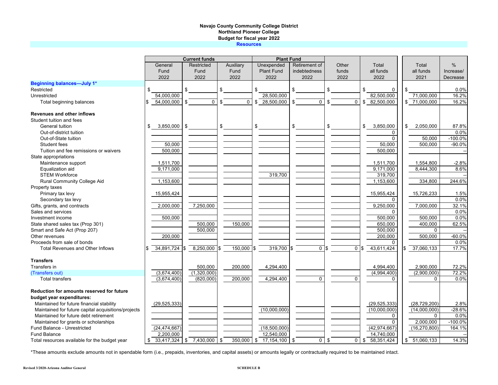## **Navajo County Community College District Northland Pioneer College Budget for fiscal year 2022 Resources**

|                                                     |                 | <b>Current funds</b>      |                | <b>Plant Fund</b>     |                 |                    |                              |                  |               |
|-----------------------------------------------------|-----------------|---------------------------|----------------|-----------------------|-----------------|--------------------|------------------------------|------------------|---------------|
|                                                     | General         | Restricted                | Auxiliary      | Unexpended            | Retirement of   | Other              | Total                        | Total            | $\frac{0}{0}$ |
|                                                     | Fund            | Fund                      | Fund           | <b>Plant Fund</b>     | indebtedness    | funds              | all funds                    | all funds        | Increase/     |
|                                                     | 2022            | 2022                      | 2022           | 2022                  | 2022            | 2022               | 2022                         | 2021             | Decrease      |
| <b>Beginning balances-July 1*</b>                   |                 |                           |                |                       |                 |                    |                              |                  |               |
| Restricted                                          | \$              | \$                        | \$             | \$                    | \$              | \$                 | \$<br>$\mathbf 0$            | \$               | 0.0%          |
| Unrestricted                                        | 54,000,000      |                           |                | 28,500,000            |                 |                    | 82,500,000                   | 71,000,000       | 16.2%         |
| Total beginning balances                            | 54,000,000      | $\Omega$<br>\$            | \$<br>$\Omega$ | 28,500,000<br>\$      | \$<br>$\Omega$  | \$<br>$\mathbf{0}$ | 82,500,000<br>\$             | \$71,000,000     | 16.2%         |
| Revenues and other inflows                          |                 |                           |                |                       |                 |                    |                              |                  |               |
| Student tuition and fees                            |                 |                           |                |                       |                 |                    |                              |                  |               |
| General tuition                                     | 3,850,000<br>\$ | \$                        | \$             | \$                    | \$              | \$                 | \$<br>3,850,000              | \$<br>2,050,000  | 87.8%         |
| Out-of-district tuition                             |                 |                           |                |                       |                 |                    | 0                            |                  | 0.0%          |
| Out-of-State tuition                                |                 |                           |                |                       |                 |                    | $\Omega$                     | 50.000           | $-100.0%$     |
| Student fees                                        | 50,000          |                           |                |                       |                 |                    | 50,000                       | 500,000          | $-90.0%$      |
| Tuition and fee remissions or waivers               | 500,000         |                           |                |                       |                 |                    | 500,000                      |                  |               |
| State appropriations                                |                 |                           |                |                       |                 |                    |                              |                  |               |
| Maintenance support                                 | 1,511,700       |                           |                |                       |                 |                    | 1,511,700                    | 1,554,800        | $-2.8%$       |
| Equalization aid                                    | 9,171,000       |                           |                |                       |                 |                    | 9.171.000                    | 8,444,300        | 8.6%          |
| <b>STEM Workforce</b>                               |                 |                           |                | 319,700               |                 |                    | 319,700                      |                  |               |
| Rural Community College Aid                         | 1,153,600       |                           |                |                       |                 |                    | 1,153,600                    | 334,800          | 244.6%        |
| Property taxes                                      |                 |                           |                |                       |                 |                    |                              |                  |               |
| Primary tax levy                                    | 15,955,424      |                           |                |                       |                 |                    | 15,955,424                   | 15,726,233       | 1.5%          |
| Secondary tax levy                                  |                 |                           |                |                       |                 |                    | $\Omega$                     |                  | 0.0%          |
| Gifts, grants, and contracts                        | 2,000,000       | 7,250,000                 |                |                       |                 |                    | 9,250,000                    | 7,000,000        | 32.1%         |
| Sales and services                                  |                 |                           |                |                       |                 |                    | $\Omega$                     |                  | 0.0%          |
| Investment income                                   | 500,000         |                           |                |                       |                 |                    | 500,000                      | 500,000          | 0.0%          |
| State shared sales tax (Prop 301)                   |                 | 500,000                   | 150,000        |                       |                 |                    | 650,000                      | 400,000          | 62.5%         |
| Smart and Safe Act (Prop 207)                       |                 | 500,000                   |                |                       |                 |                    | 500,000                      | $\Omega$         |               |
| Other revenues                                      | 200,000         |                           |                |                       |                 |                    | 200,000                      | 500,000          | $-60.0%$      |
| Proceeds from sale of bonds                         |                 |                           |                |                       |                 |                    | 0                            |                  | 0.0%          |
| <b>Total Revenues and Other Inflows</b>             | 34,891,724      | $8,250,000$ \$            | 150,000 \$     | 319,700 \$            | 0 <sup>15</sup> | 0 <sup>15</sup>    | 43,611,424                   | 37,060,133       | 17.7%         |
| <b>Transfers</b>                                    |                 |                           |                |                       |                 |                    |                              |                  |               |
| Transfers in                                        |                 | 500,000                   | 200,000        | 4,294,400             |                 |                    | 4,994,400                    | 2,900,000        | 72.2%         |
| (Transfers out)                                     | (3,674,400)     | (1,320,000)               |                |                       |                 |                    | (4,994,400)                  | (2,900,000)      | 72.2%         |
| <b>Total transfers</b>                              | (3,674,400)     | (820,000)                 | 200,000        | 4,294,400             | $\mathbf{0}$    | $\mathbf{0}$       | 0                            | $\Omega$         | 0.0%          |
| Reduction for amounts reserved for future           |                 |                           |                |                       |                 |                    |                              |                  |               |
| budget year expenditures:                           |                 |                           |                |                       |                 |                    |                              |                  |               |
| Maintained for future financial stability           | (29, 525, 333)  |                           |                |                       |                 |                    | (29, 525, 333)               | (28, 729, 200)   | 2.8%          |
| Maintained for future capital acquisitions/projects |                 |                           |                | (10,000,000)          |                 |                    | (10,000,000)                 | (14,000,000)     | $-28.6%$      |
| Maintained for future debt retirement               |                 |                           |                |                       |                 |                    | 0                            | $\Omega$         | 0.0%          |
| Maintained for grants or scholarships               |                 |                           |                |                       |                 |                    | $\Omega$                     | 2,000,000        | $-100.0%$     |
| Fund Balance - Unrestricted                         | (24, 474, 667)  |                           |                | (18,500,000)          |                 |                    | (42, 974, 667)               | (16, 270, 800)   | 164.1%        |
| <b>Fund Balance</b>                                 | 2,200,000       |                           |                | 12,540,000            |                 |                    | 14,740,000                   |                  |               |
| Total resources available for the budget year       | \$              | $33,417,324$ \$ 7,430,000 | \$<br>350.000  | $17,154,100$ \$<br>\$ | $\Omega$        | \$                 | $\overline{0}$ \$ 58,351,424 | 51.060.133<br>\$ | 14.3%         |

\*These amounts exclude amounts not in spendable form (i.e., prepaids, inventories, and capital assets) or amounts legally or contractually required to be maintained intact.